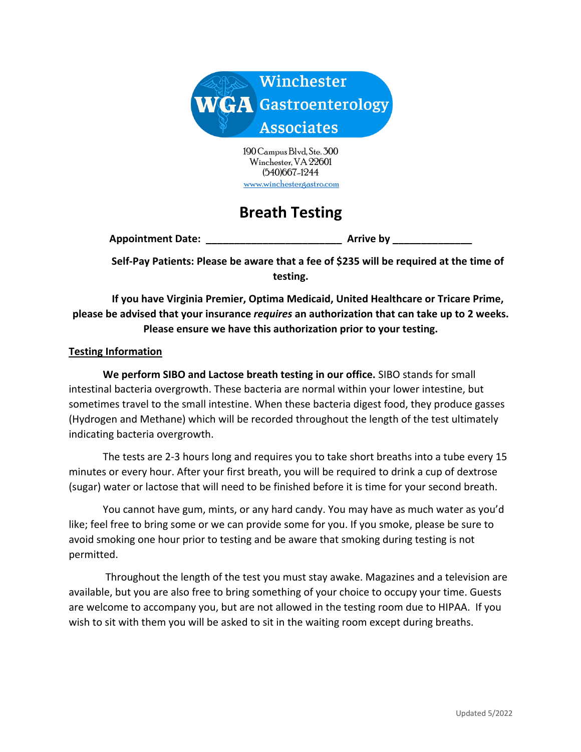

190 Campus Blvd, Ste. 300 Winchester, VA 22601 (540)667-1244 www.winchestergastro.com

# **Breath Testing**

**Appointment Date: \_\_\_\_\_\_\_\_\_\_\_\_\_\_\_\_\_\_\_\_\_\_\_\_ Arrive by \_\_\_\_\_\_\_\_\_\_\_\_\_\_**

**Self-Pay Patients: Please be aware that a fee of \$235 will be required at the time of testing.**

**If you have Virginia Premier, Optima Medicaid, United Healthcare or Tricare Prime, please be advised that your insurance** *requires* **an authorization that can take up to 2 weeks. Please ensure we have this authorization prior to your testing.**

#### **Testing Information**

**We perform SIBO and Lactose breath testing in our office.** SIBO stands for small intestinal bacteria overgrowth. These bacteria are normal within your lower intestine, but sometimes travel to the small intestine. When these bacteria digest food, they produce gasses (Hydrogen and Methane) which will be recorded throughout the length of the test ultimately indicating bacteria overgrowth.

The tests are 2-3 hours long and requires you to take short breaths into a tube every 15 minutes or every hour. After your first breath, you will be required to drink a cup of dextrose (sugar) water or lactose that will need to be finished before it is time for your second breath.

You cannot have gum, mints, or any hard candy. You may have as much water as you'd like; feel free to bring some or we can provide some for you. If you smoke, please be sure to avoid smoking one hour prior to testing and be aware that smoking during testing is not permitted.

Throughout the length of the test you must stay awake. Magazines and a television are available, but you are also free to bring something of your choice to occupy your time. Guests are welcome to accompany you, but are not allowed in the testing room due to HIPAA. If you wish to sit with them you will be asked to sit in the waiting room except during breaths.